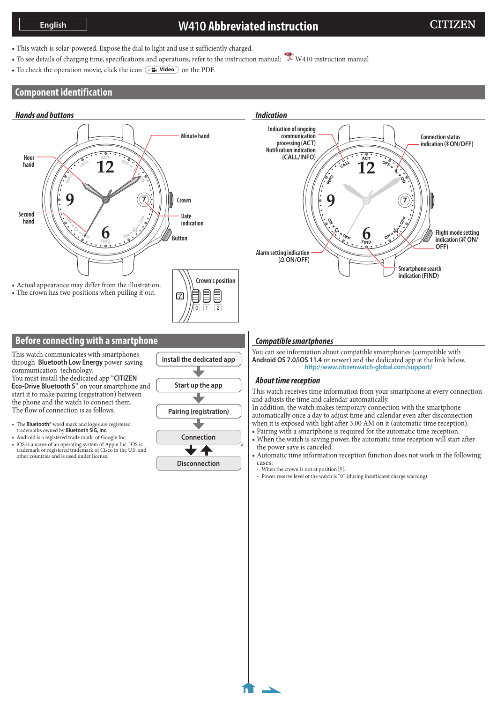# **W410 Abbreviated instruction**

- This watch is solar-powered. Expose the dial to light and use it sufficiently charged.
- To see details of charging time, specifications and operations, refer to the [instruction](http://www.citizenwatch-global.com/support/pdf/w410/e.pdf) manual:  $\overline{\mathcal{L}}$  W410 instruction manual
- To check the operation movie, click the icon  $\circ$ **<sup>2</sup>.** Video on the PDF.

### **Component identification**

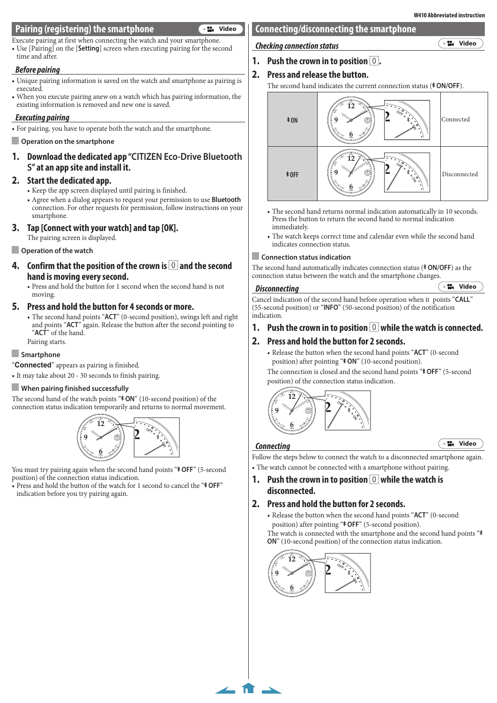## **Pairing (registering) the smartphone**

Execute pairing at first when connecting the watch and your smartphone. • Use [Pairing] on the [**Setting**] screen when executing pairing for the second time and after.

### *Before pairing*

- • Unique pairing information is saved on the watch and smartphone as pairing is executed.
- • When you execute pairing anew on a watch which has pairing information, the existing information is removed and new one is saved.

#### *Executing pairing*

• For pairing, you have to operate both the watch and the smartphone.

#### **Operation on the smartphone**

**1. Download the dedicated app "CITIZEN Eco-Drive Bluetooth S" at an app site and install it.**

#### **2. Start the dedicated app.**

- Keep the app screen displayed until pairing is finished.
- • Agree when a dialog appears to request your permission to use **Bluetooth** connection. For other requests for permission, follow instructions on your smartphone.

#### **3. Tap [Connect with your watch] and tap [OK].**

The pairing screen is displayed.

#### **Operation of the watch**

- **4. Confirm that the position of the crown is 0 and the second hand is moving every second.**
	- • Press and hold the button for 1 second when the second hand is not moving.

#### **5. Press and hold the button for 4 seconds or more.**

• The second hand points "ACT" (0-second position), swings left and right and points "**ACT**" again. Release the button after the second pointing to "**ACT**" of the hand.

Pairing starts.

#### **Smartphone**

"**Connected**" appears as pairing is finished.

• It may take about 20 - 30 seconds to finish pairing.

#### **When pairing finished successfully**

The second hand of the watch points " $\text{\textdegree{}}$  ON" (10-second position) of the connection status indication temporarily and returns to normal movement.



**NO** position) of the connection status indication. You must try pairing again when the second hand points "\* OFF" (5-second

**<sup>F</sup><sup>F</sup> <sup>O</sup>** indication before you try pairing again. • Press and hold the button of the watch for 1 second to cancel the "**\* OFF**"

# **Connecting/disconnecting the smartphone**

*Checking connection status*

**[Video](https://citizen.jp/support/movie/w410/video_01.html)**

 $3.22$ 

- **1. Push the crown in to position** 0**.**
- **2. Press and release the button.**

The second hand indicates the current connection status (\*ON/OFF).



- **NO O**Press the button to return the second hand to normal indication immediately.
- **<sup>F</sup>IN<sup>D</sup> <sup>O</sup><sup>N</sup>** • The watch keeps correct time and calendar even while the second hand indicates connection status.

#### **Connection status indication**

The second hand automatically indicates connection status (**\* ON/OFF**) as the connection status between the watch and the smartphone changes.

#### *Disconnecting*

Cancel indication of the second hand before operation when it points "**CALL**" (55-second position) or "**INFO**" (50-second position) of the notification indication.

# **1. Push the crown in to position** 0 **while the watch is connected.**

### **2. Press and hold the button for 2 seconds.**

• Release the button when the second hand points "**ACT**" (0-second position) after pointing "\* ON" (10-second position).

The connection is closed and the second hand points "\* OFF" (5-second position) of the connection status indication.



#### *Connecting*

 $\leftarrow$  fr  $\rightarrow$ 

**Follow the steps below to connect the watch to a disconnected smartphone again. <sup>F</sup><sup>F</sup> <sup>O</sup> <sup>F</sup>IN<sup>D</sup> <sup>O</sup><sup>N</sup>** • The watch cannot be connected with a smartphone without pairing.

**1. Push the crown in to position** 0 **while the watch is disconnected.**

### **2. Press and hold the button for 2 seconds.**

• Release the button when the second hand points "**ACT**" (0-second position) after pointing "\* OFF" (5-second position). The watch is connected with the smartphone and the second hand points "\* **ON**" (10-second position) of the connection status indication.



**W410 Abbreviated instruction**

**PE** [Video](https://citizen.jp/support/movie/w410/video_02.html)

**[Video](https://citizen.jp/support/movie/w410/video_03.html)**

**PM** [Video](https://citizen.jp/support/movie/w410/video_04.html)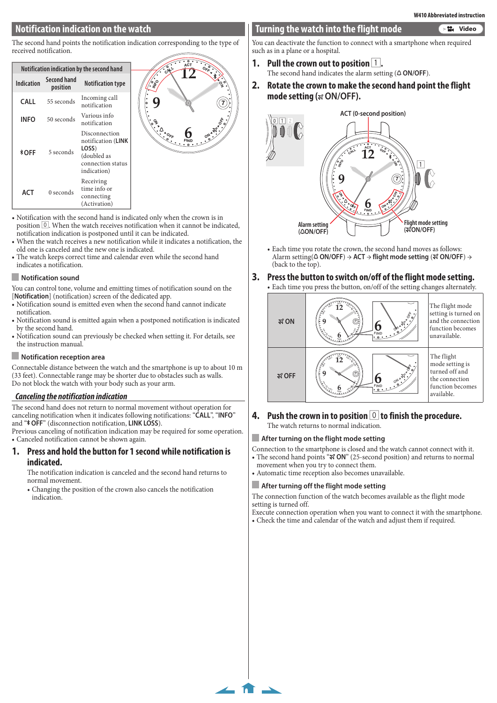# **Notification indication on the watch**

The second hand points the notification indication corresponding to the type of received notification.

| Notification indication by the second hand |                                |                                                                                                 |
|--------------------------------------------|--------------------------------|-------------------------------------------------------------------------------------------------|
| Indication                                 | <b>Second hand</b><br>position | <b>Notification type</b>                                                                        |
| CALL                                       | 55 seconds                     | Incoming call<br>notification                                                                   |
| <b>INFO</b>                                | 50 seconds                     | Various info<br>notification                                                                    |
| *ОFF                                       | 5 seconds                      | Disconnection<br>notification (LINK<br>LOSS)<br>(doubled as<br>connection status<br>indication) |
| ACT                                        | 0 seconds                      | Receiving<br>time info or<br>connecting<br>(Activation)                                         |



- • Notification with the second hand is indicated only when the crown is in position  $\boxed{0}$ . When the watch receives notification when it cannot be indicated, notification indication is postponed until it can be indicated.
- When the watch receives a new notification while it indicates a notification, the old one is canceled and the new one is indicated.
- The watch keeps correct time and calendar even while the second hand indicates a notification.

#### **Notification sound**

You can control tone, volume and emitting times of notification sound on the [**Notification**] (notification) screen of the dedicated app.

- Notification sound is emitted even when the second hand cannot indicate notification.
- • Notification sound is emitted again when a postponed notification is indicated by the second hand.
- • Notification sound can previously be checked when setting it. For details, see the instruction manual.

#### **Notification reception area**

Connectable distance between the watch and the smartphone is up to about 10 m (33 feet). Connectable range may be shorter due to obstacles such as walls. Do not block the watch with your body such as your arm.

#### *Canceling the notification indication*

The second hand does not return to normal movement without operation for canceling notification when it indicates following notifications: "**CALL**", "**INFO**" and "\* OFF" (disconnection notification, LINK LOSS).

Previous canceling of notification indication may be required for some operation. • Canceled notification cannot be shown again.

#### **1. Press and hold the button for 1 second while notification is indicated.**

The notification indication is canceled and the second hand returns to normal movement.

• Changing the position of the crown also cancels the notification indication.

#### **Turning the watch into the flight mode [Video](https://citizen.jp/support/movie/w410/video_05.html)**

You can deactivate the function to connect with a smartphone when required such as in a plane or a hospital.

- **1. Pull the crown out to position** 1**.** The second hand indicates the alarm setting  $(\triangle ON/OFF)$ .
- **2. Rotate the crown to make the second hand point the flight mode setting ( ON/OFF).**



• Each time you rotate the crown, the second hand moves as follows: Alarm setting( **ON/OFF**) → **ACT** → **flight mode setting** ( **ON/OFF**) → (back to the top).

# **3.** Press the button to switch on/off of the flight mode setting.

• Each time you press the button, on/off of the setting changes alternately.



#### **4. Push the crown in to position** 0 **to finish the procedure.** The watch returns to normal indication.

#### **After turning on the flight mode setting**

Connection to the smartphone is closed and the watch cannot connect with it. • The second hand points " $\mathcal{R}$  ON" (25-second position) and returns to normal movement when you try to connect them.

• Automatic time reception also becomes unavailable.

#### **After turning off the flight mode setting**

 $\leftarrow$  fr  $\rightarrow$ 

The connection function of the watch becomes available as the flight mode setting is turned off.

Execute connection operation when you want to connect it with the smartphone. • Check the time and calendar of the watch and adjust them if required.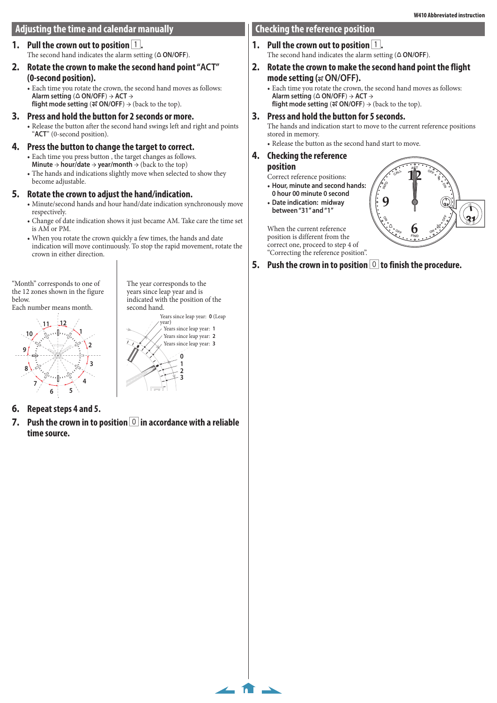# **Adjusting the time and calendar manually**

**1.** Pull the crown out to position 1. The second hand indicates the alarm setting  $(4 ON/OFF)$ .

# **2. Rotate the crown to make the second hand point "ACT" (0-second position).**

• Each time you rotate the crown, the second hand moves as follows: **Alarm setting** ( **ON/OFF**) → **ACT** → **flight mode setting** ( $\mathcal{R}$  ON/OFF)  $\rightarrow$  (back to the top).

# **3. Press and hold the button for 2 seconds or more.**

• Release the button after the second hand swings left and right and points "**ACT**" (0-second position).

# **4. Press the button to change the target to correct.**

- Each time you press button, the target changes as follows. **Minute**  $\rightarrow$  **hour/date**  $\rightarrow$  **year/month**  $\rightarrow$  (back to the top)
- The hands and indications slightly move when selected to show they become adjustable.

# **5. Rotate the crown to adjust the hand/indication.**

- Minute/second hands and hour hand/date indication synchronously move respectively.
- • Change of date indication shows it just became AM. Take care the time set is AM or PM.
- • When you rotate the crown quickly a few times, the hands and date indication will move continuously. To stop the rapid movement, rotate the crown in either direction.

"Month" corresponds to one of the 12 zones shown in the figure below. Each number means month.

The year corresponds to the years since leap year and is indicated with the position of the second hand.





 $\leftarrow$  fr  $\rightarrow$ 

- **6. Repeat steps 4 and 5.**
- **7. Push the crown in to position** 0 **in accordance with a reliable time source.**

# **Checking the reference position**

- **1.** Pull the crown out to position  $\boxed{1}$ . The second hand indicates the alarm setting  $(\triangle ON/OFF)$ .
- **2. Rotate the crown to make the second hand point the flight mode setting ( ON/OFF).**

• Each time you rotate the crown, the second hand moves as follows: **Alarm setting** ( **ON/OFF**) → **ACT** → **flight mode setting** ( $\mathcal{R}$  ON/OFF)  $\rightarrow$  (back to the top).

# **3. Press and hold the button for 5 seconds.**

The hands and indication start to move to the current reference positions stored in memory.

**INFO**

 $\frac{1}{2}$ 

**CAL<sup>L</sup>**

**<sup>F</sup><sup>F</sup> <sup>O</sup>**

**12**

**<sup>O</sup>F<sup>F</sup>**

**<sup>N</sup>O**

**ACT**

**9 <sup>31</sup>**

**1**

**FFO**

**31 1**

**ON**

**6**

**FIND**

• Release the button as the second hand start to move.

#### **4. Checking the reference position**

Correct reference positions:

- • **Hour, minute and second hands:**
- **0 hour 00 minute 0 second**
- • **Date indication: midway between "31" and "1"**

When the current reference position is different from the correct one, proceed to step 4 of "Correcting the reference position".

**5.** Push the crown in to position **0** to finish the procedure.